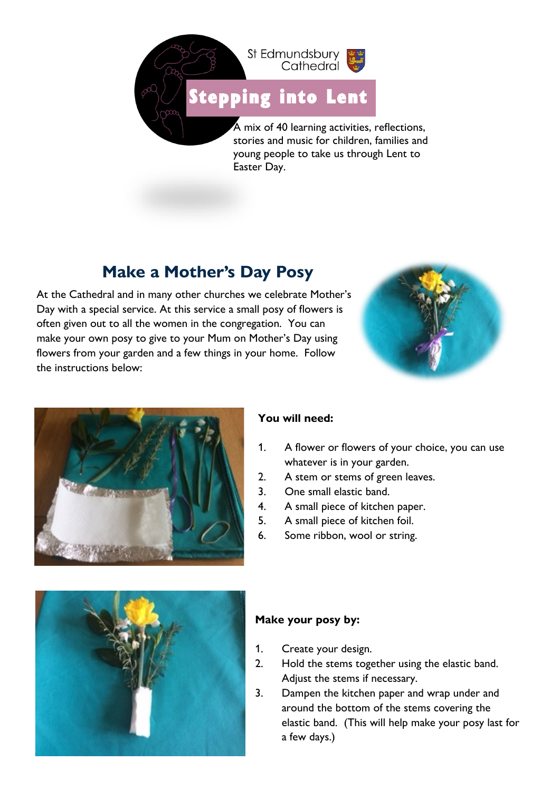

# [Stepping i](https://www.google.co.uk/url?sa=i&url=http%3A%2F%2Fclipart-library.com%2Fprintable-footprints.html&psig=AOvVaw1XtmcUV1Dh0SIC0cZJDSmi&ust=1611238414423000&source=images&cd=vfe&ved=0CAIQjRxqFwoTCNiL8PzYqu4CFQAAAAAdAAAAABAE)nto Lent

A mix of 40 learning activities, reflections, stories and music for children, families and young people to take us through Lent to Easter Day.

## **Make a Mother's Day Posy**

At the Cathedral and in many other churches we celebrate Mother's Day with a special service. At this service a small posy of flowers is often given out to all the women in the congregation. You can make your own posy to give to your Mum on Mother's Day using flowers from your garden and a few things in your home. Follow the instructions below:





### **You will need:**

- 1. A flower or flowers of your choice, you can use whatever is in your garden.
- 2. A stem or stems of green leaves.
- 3. One small elastic band.
- 4. A small piece of kitchen paper.
- 5. A small piece of kitchen foil.
- 6. Some ribbon, wool or string.



### **Make your posy by:**

- 1. Create your design.
- 2. Hold the stems together using the elastic band. Adjust the stems if necessary.
- 3. Dampen the kitchen paper and wrap under and around the bottom of the stems covering the elastic band. (This will help make your posy last for a few days.)